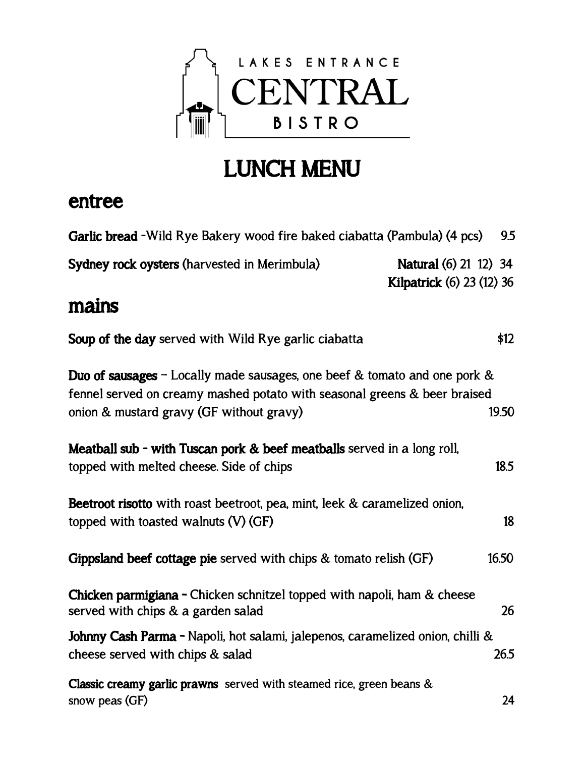

## **LUNCH MENU**

## **entree**

| <b>Garlic bread</b> -Wild Rye Bakery wood fire baked ciabatta (Pambula) (4 pcs)                                                                                                                                 | 9.5                                                       |
|-----------------------------------------------------------------------------------------------------------------------------------------------------------------------------------------------------------------|-----------------------------------------------------------|
| Sydney rock oysters (harvested in Merimbula)                                                                                                                                                                    | <b>Natural (6) 21 12) 34</b><br>Kilpatrick (6) 23 (12) 36 |
| mains                                                                                                                                                                                                           |                                                           |
| Soup of the day served with Wild Rye garlic ciabatta                                                                                                                                                            | \$12                                                      |
| <b>Duo of sausages</b> – Locally made sausages, one beef $\&$ tomato and one pork $\&$<br>fennel served on creamy mashed potato with seasonal greens & beer braised<br>onion & mustard gravy (GF without gravy) | 19.50                                                     |
| Meatball sub - with Tuscan pork & beef meatballs served in a long roll,<br>topped with melted cheese. Side of chips                                                                                             | 18.5                                                      |
| <b>Beetroot risotto</b> with roast beetroot, pea, mint, leek & caramelized onion,<br>topped with toasted walnuts $(V)$ (GF)                                                                                     | 18                                                        |
| <b>Gippsland beef cottage pie</b> served with chips $\&$ tomato relish (GF)                                                                                                                                     | 16.50                                                     |
| Chicken parmigiana - Chicken schnitzel topped with napoli, ham & cheese<br>served with chips & a garden salad                                                                                                   | 26                                                        |
| <b>Johnny Cash Parma - Napoli, hot salami, jalepenos, caramelized onion, chilli &amp;</b><br>cheese served with chips & salad                                                                                   | 26.5                                                      |
| Classic creamy garlic prawns served with steamed rice, green beans &<br>snow peas (GF)                                                                                                                          | 24                                                        |